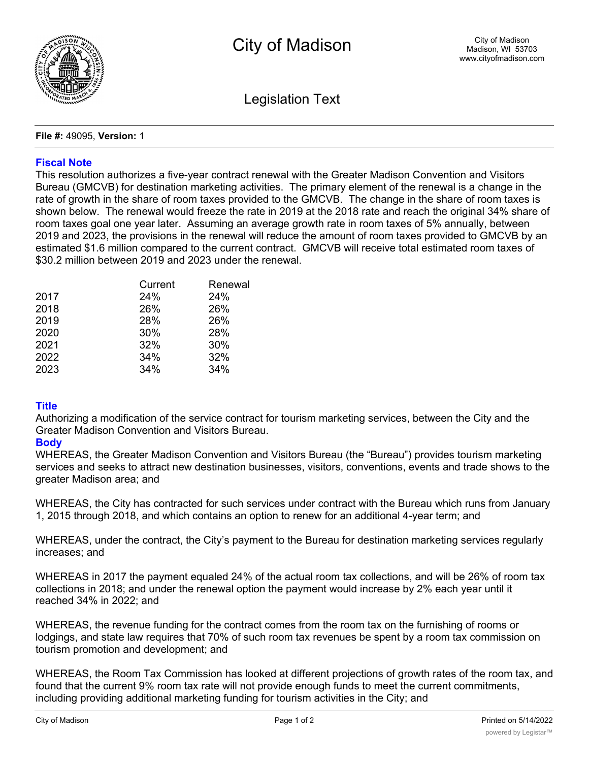

Legislation Text

**File #:** 49095, **Version:** 1

## **Fiscal Note**

This resolution authorizes a five-year contract renewal with the Greater Madison Convention and Visitors Bureau (GMCVB) for destination marketing activities. The primary element of the renewal is a change in the rate of growth in the share of room taxes provided to the GMCVB. The change in the share of room taxes is shown below. The renewal would freeze the rate in 2019 at the 2018 rate and reach the original 34% share of room taxes goal one year later. Assuming an average growth rate in room taxes of 5% annually, between 2019 and 2023, the provisions in the renewal will reduce the amount of room taxes provided to GMCVB by an estimated \$1.6 million compared to the current contract. GMCVB will receive total estimated room taxes of \$30.2 million between 2019 and 2023 under the renewal.

|      | Current | Renewal |
|------|---------|---------|
| 2017 | 24%     | 24%     |
| 2018 | 26%     | 26%     |
| 2019 | 28%     | 26%     |
| 2020 | 30%     | 28%     |
| 2021 | 32%     | 30%     |
| 2022 | 34%     | 32%     |
| 2023 | 34%     | 34%     |

## **Title**

Authorizing a modification of the service contract for tourism marketing services, between the City and the Greater Madison Convention and Visitors Bureau.

## **Body**

WHEREAS, the Greater Madison Convention and Visitors Bureau (the "Bureau") provides tourism marketing services and seeks to attract new destination businesses, visitors, conventions, events and trade shows to the greater Madison area; and

WHEREAS, the City has contracted for such services under contract with the Bureau which runs from January 1, 2015 through 2018, and which contains an option to renew for an additional 4-year term; and

WHEREAS, under the contract, the City's payment to the Bureau for destination marketing services regularly increases; and

WHEREAS in 2017 the payment equaled 24% of the actual room tax collections, and will be 26% of room tax collections in 2018; and under the renewal option the payment would increase by 2% each year until it reached 34% in 2022; and

WHEREAS, the revenue funding for the contract comes from the room tax on the furnishing of rooms or lodgings, and state law requires that 70% of such room tax revenues be spent by a room tax commission on tourism promotion and development; and

WHEREAS, the Room Tax Commission has looked at different projections of growth rates of the room tax, and found that the current 9% room tax rate will not provide enough funds to meet the current commitments, including providing additional marketing funding for tourism activities in the City; and